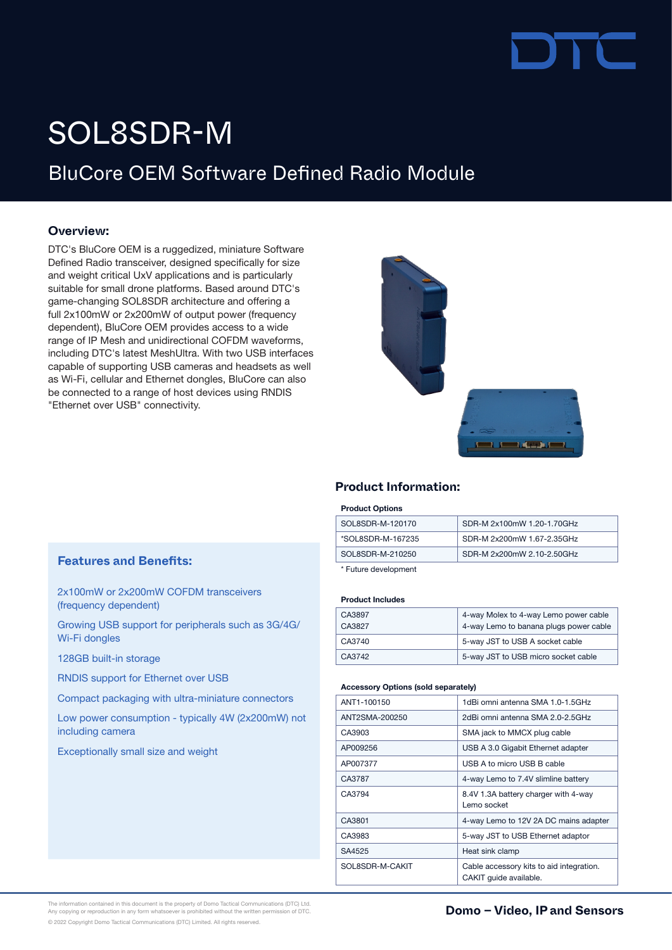# SOL8SDR-M

# BluCore OEM Software Defined Radio Module

# **Overview:**

DTC's BluCore OEM is a ruggedized, miniature Software Defined Radio transceiver, designed specifically for size and weight critical UxV applications and is particularly suitable for small drone platforms. Based around DTC's game-changing SOL8SDR architecture and offering a full 2x100mW or 2x200mW of output power (frequency dependent), BluCore OEM provides access to a wide range of IP Mesh and unidirectional COFDM waveforms, including DTC's latest MeshUltra. With two USB interfaces capable of supporting USB cameras and headsets as well as Wi-Fi, cellular and Ethernet dongles, BluCore can also be connected to a range of host devices using RNDIS "Ethernet over USB" connectivity.



# **Product Information:**

#### Product Options

| SOL8SDR-M-120170  | SDR-M 2x100mW 1.20-1.70GHz |
|-------------------|----------------------------|
| *SOL8SDR-M-167235 | SDR-M 2x200mW 1.67-2.35GHz |
| SOL8SDR-M-210250  | SDR-M 2x200mW 2.10-2.50GHz |
|                   |                            |

\* Future development

### Product Includes

| CA3897<br>CA3827 | 4-way Molex to 4-way Lemo power cable<br>4-way Lemo to banana plugs power cable |
|------------------|---------------------------------------------------------------------------------|
| CA3740           | 5-way JST to USB A socket cable                                                 |
| CA3742           | 5-way JST to USB micro socket cable                                             |

#### Accessory Options (sold separately)

| ANT1-100150     | 1dBi omni antenna SMA 1.0-1.5GHz                                   |  |
|-----------------|--------------------------------------------------------------------|--|
| ANT2SMA-200250  | 2dBi omni antenna SMA 2.0-2.5GHz                                   |  |
| CA3903          | SMA jack to MMCX plug cable                                        |  |
| AP009256        | USB A 3.0 Gigabit Ethernet adapter                                 |  |
| AP007377        | USB A to micro USB B cable                                         |  |
| CA3787          | 4-way Lemo to 7.4V slimline battery                                |  |
| CA3794          | 8.4V 1.3A battery charger with 4-way<br>Lemo socket                |  |
| CA3801          | 4-way Lemo to 12V 2A DC mains adapter                              |  |
| CA3983          | 5-way JST to USB Ethernet adaptor                                  |  |
| SA4525          | Heat sink clamp                                                    |  |
| SOL8SDR-M-CAKIT | Cable accessory kits to aid integration.<br>CAKIT quide available. |  |

# **Features and Benefits:**

2x100mW or 2x200mW COFDM transceivers (frequency dependent)

Growing USB support for peripherals such as 3G/4G/ Wi-Fi dongles

128GB built-in storage

RNDIS support for Ethernet over USB

Compact packaging with ultra-miniature connectors

Low power consumption - typically 4W (2x200mW) not including camera

Exceptionally small size and weight

The information contained in this document is the property of Domo Tactical Communications (DTC) Ltd.<br>Any copying or reproduction in any form whatsoever is prohibited without the written permission of DTC. **In the communi** © 2022 Copyright Domo Tactical Communications (DTC) Limited. All rights reserved.